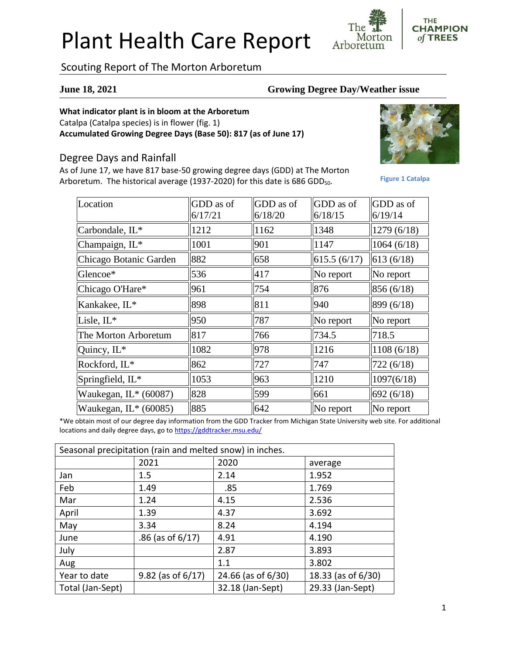# Plant Health Care Report

Scouting Report of The Morton Arboretum

#### **June 18, 2021 Growing Degree Day/Weather issue**

Morton

Arboretum

#### **What indicator plant is in bloom at the Arboretum**

Catalpa (Catalpa species) is in flower (fig. 1) **Accumulated Growing Degree Days (Base 50): 817 (as of June 17)**

### Degree Days and Rainfall

As of June 17, we have 817 base-50 growing degree days (GDD) at The Morton Arboretum. The historical average (1937-2020) for this date is 686 GDD<sub>50</sub>.



**THE CHAMPION** of TREES

**Figure 1 Catalpa**

| Location                | GDD as of | GDD as of | GDD as of      | GDD as of   |
|-------------------------|-----------|-----------|----------------|-------------|
|                         | 6/17/21   | 6/18/20   | 6/18/15        | 6/19/14     |
| Carbondale, IL*         | 1212      | 1162      | 1348           | 1279 (6/18) |
| Champaign, IL*          | 1001      | 901       | $\ 1147$       | 1064(6/18)  |
| Chicago Botanic Garden  | 882       | 658       | 615.5(6/17)    | 613(6/18)   |
| Glencoe*                | 536       | 417       | $\ $ No report | No report   |
| Chicago O'Hare*         | 961       | 754       | 876            | 856 (6/18)  |
| Kankakee, IL*           | 898       | 811       | 940            | 899 (6/18)  |
| Lisle, $IL^*$           | 950       | 787       | $\ $ No report | No report   |
| The Morton Arboretum    | 817       | 766       | 734.5          | 718.5       |
| Quincy, $IL^*$          | 1082      | 978       | 1216           | 1108(6/18)  |
| Rockford, IL*           | 862       | 727       | 747            | 722(6/18)   |
| Springfield, IL*        | 1053      | 963       | 1210           | 1097(6/18)  |
| Waukegan, $IL*$ (60087) | 828       | 599       | 661            | 692(6/18)   |
| Waukegan, IL* (60085)   | 885       | 642       | $\ $ No report | No report   |

\*We obtain most of our degree day information from the GDD Tracker from Michigan State University web site. For additional locations and daily degree days, go to <https://gddtracker.msu.edu/>

| Seasonal precipitation (rain and melted snow) in inches. |                        |                    |                    |  |  |
|----------------------------------------------------------|------------------------|--------------------|--------------------|--|--|
|                                                          | 2021                   | 2020               | average            |  |  |
| Jan                                                      | 1.5                    | 2.14               | 1.952              |  |  |
| Feb                                                      | 1.49                   | .85                | 1.769              |  |  |
| Mar                                                      | 1.24                   | 4.15               | 2.536              |  |  |
| April                                                    | 1.39                   | 4.37               | 3.692              |  |  |
| May                                                      | 3.34                   | 8.24               | 4.194              |  |  |
| June                                                     | $.86$ (as of $6/17$ )  | 4.91               | 4.190              |  |  |
| July                                                     |                        | 2.87               | 3.893              |  |  |
| Aug                                                      |                        | 1.1                | 3.802              |  |  |
| Year to date                                             | $9.82$ (as of $6/17$ ) | 24.66 (as of 6/30) | 18.33 (as of 6/30) |  |  |
| Total (Jan-Sept)                                         |                        | 32.18 (Jan-Sept)   | 29.33 (Jan-Sept)   |  |  |